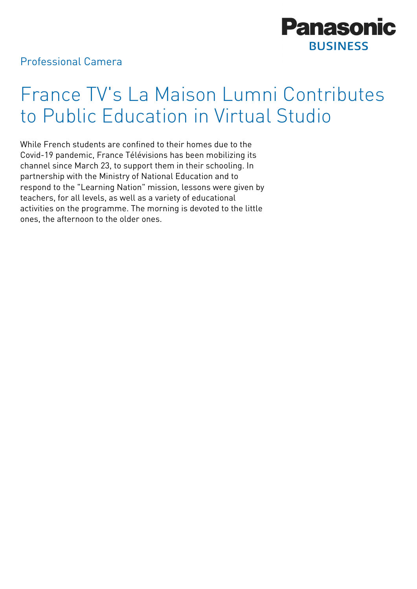

## Professional Camera

## France TV's La Maison Lumni Contributes to Public Education in Virtual Studio

While French students are confined to their homes due to the Covid-19 pandemic, France Télévisions has been mobilizing its channel since March 23, to support them in their schooling. In partnership with the Ministry of National Education and to respond to the "Learning Nation" mission, lessons were given by teachers, for all levels, as well as a variety of educational activities on the programme. The morning is devoted to the little ones, the afternoon to the older ones.